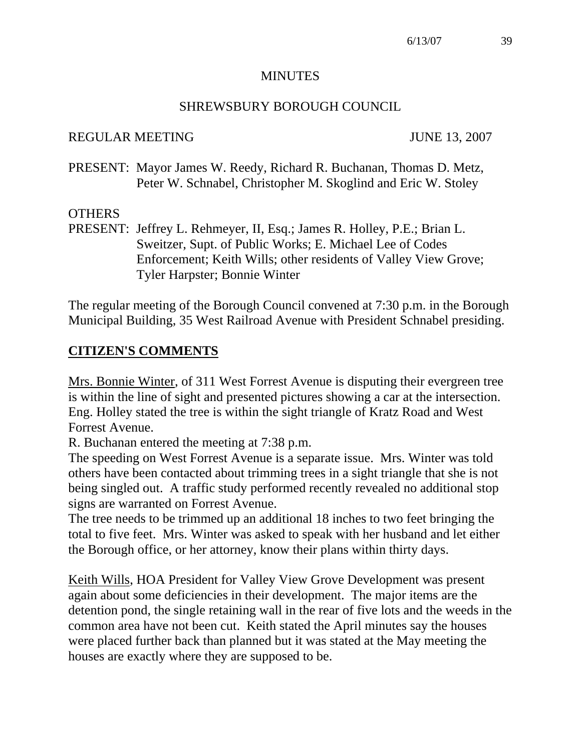### **MINUTES**

### SHREWSBURY BOROUGH COUNCIL

### REGULAR MEETING JUNE 13, 2007

PRESENT: Mayor James W. Reedy, Richard R. Buchanan, Thomas D. Metz, Peter W. Schnabel, Christopher M. Skoglind and Eric W. Stoley

### **OTHERS**

PRESENT: Jeffrey L. Rehmeyer, II, Esq.; James R. Holley, P.E.; Brian L. Sweitzer, Supt. of Public Works; E. Michael Lee of Codes Enforcement; Keith Wills; other residents of Valley View Grove; Tyler Harpster; Bonnie Winter

The regular meeting of the Borough Council convened at 7:30 p.m. in the Borough Municipal Building, 35 West Railroad Avenue with President Schnabel presiding.

## **CITIZEN'S COMMENTS**

Mrs. Bonnie Winter, of 311 West Forrest Avenue is disputing their evergreen tree is within the line of sight and presented pictures showing a car at the intersection. Eng. Holley stated the tree is within the sight triangle of Kratz Road and West Forrest Avenue.

R. Buchanan entered the meeting at 7:38 p.m.

The speeding on West Forrest Avenue is a separate issue. Mrs. Winter was told others have been contacted about trimming trees in a sight triangle that she is not being singled out. A traffic study performed recently revealed no additional stop signs are warranted on Forrest Avenue.

The tree needs to be trimmed up an additional 18 inches to two feet bringing the total to five feet. Mrs. Winter was asked to speak with her husband and let either the Borough office, or her attorney, know their plans within thirty days.

Keith Wills, HOA President for Valley View Grove Development was present again about some deficiencies in their development. The major items are the detention pond, the single retaining wall in the rear of five lots and the weeds in the common area have not been cut. Keith stated the April minutes say the houses were placed further back than planned but it was stated at the May meeting the houses are exactly where they are supposed to be.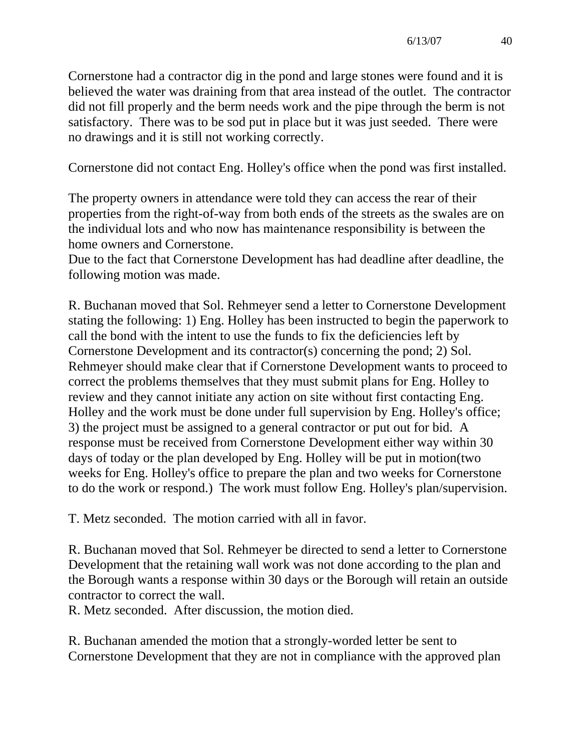Cornerstone had a contractor dig in the pond and large stones were found and it is believed the water was draining from that area instead of the outlet. The contractor did not fill properly and the berm needs work and the pipe through the berm is not satisfactory. There was to be sod put in place but it was just seeded. There were no drawings and it is still not working correctly.

Cornerstone did not contact Eng. Holley's office when the pond was first installed.

The property owners in attendance were told they can access the rear of their properties from the right-of-way from both ends of the streets as the swales are on the individual lots and who now has maintenance responsibility is between the home owners and Cornerstone.

Due to the fact that Cornerstone Development has had deadline after deadline, the following motion was made.

R. Buchanan moved that Sol. Rehmeyer send a letter to Cornerstone Development stating the following: 1) Eng. Holley has been instructed to begin the paperwork to call the bond with the intent to use the funds to fix the deficiencies left by Cornerstone Development and its contractor(s) concerning the pond; 2) Sol. Rehmeyer should make clear that if Cornerstone Development wants to proceed to correct the problems themselves that they must submit plans for Eng. Holley to review and they cannot initiate any action on site without first contacting Eng. Holley and the work must be done under full supervision by Eng. Holley's office; 3) the project must be assigned to a general contractor or put out for bid. A response must be received from Cornerstone Development either way within 30 days of today or the plan developed by Eng. Holley will be put in motion(two weeks for Eng. Holley's office to prepare the plan and two weeks for Cornerstone to do the work or respond.) The work must follow Eng. Holley's plan/supervision.

T. Metz seconded. The motion carried with all in favor.

R. Buchanan moved that Sol. Rehmeyer be directed to send a letter to Cornerstone Development that the retaining wall work was not done according to the plan and the Borough wants a response within 30 days or the Borough will retain an outside contractor to correct the wall.

R. Metz seconded. After discussion, the motion died.

R. Buchanan amended the motion that a strongly-worded letter be sent to Cornerstone Development that they are not in compliance with the approved plan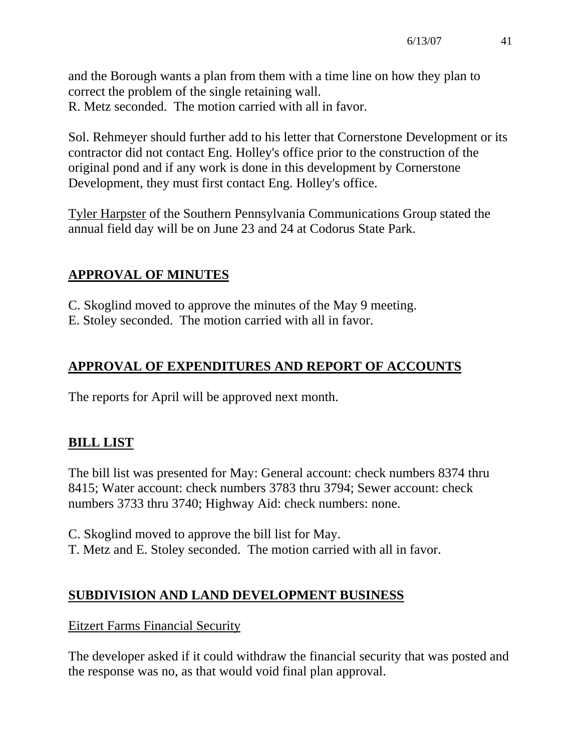and the Borough wants a plan from them with a time line on how they plan to correct the problem of the single retaining wall. R. Metz seconded. The motion carried with all in favor.

Sol. Rehmeyer should further add to his letter that Cornerstone Development or its contractor did not contact Eng. Holley's office prior to the construction of the original pond and if any work is done in this development by Cornerstone Development, they must first contact Eng. Holley's office.

Tyler Harpster of the Southern Pennsylvania Communications Group stated the annual field day will be on June 23 and 24 at Codorus State Park.

# **APPROVAL OF MINUTES**

C. Skoglind moved to approve the minutes of the May 9 meeting.

E. Stoley seconded. The motion carried with all in favor.

# **APPROVAL OF EXPENDITURES AND REPORT OF ACCOUNTS**

The reports for April will be approved next month.

## **BILL LIST**

The bill list was presented for May: General account: check numbers 8374 thru 8415; Water account: check numbers 3783 thru 3794; Sewer account: check numbers 3733 thru 3740; Highway Aid: check numbers: none.

C. Skoglind moved to approve the bill list for May.

T. Metz and E. Stoley seconded. The motion carried with all in favor.

## **SUBDIVISION AND LAND DEVELOPMENT BUSINESS**

### Eitzert Farms Financial Security

The developer asked if it could withdraw the financial security that was posted and the response was no, as that would void final plan approval.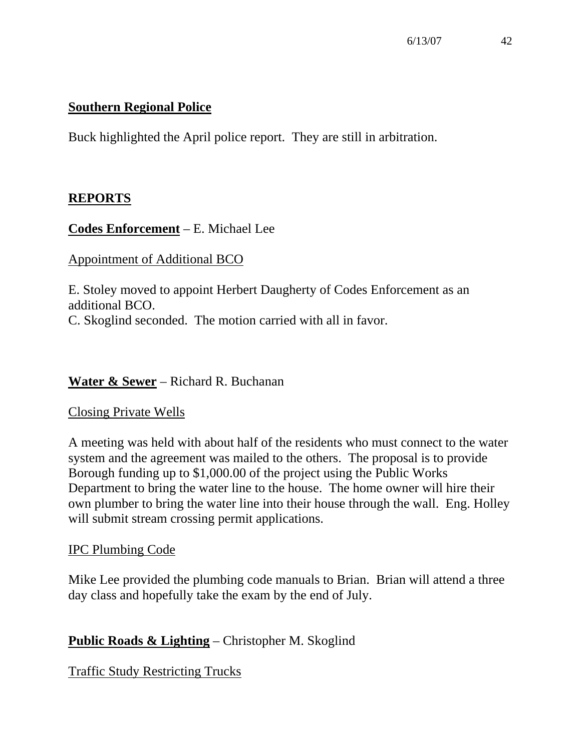# **Southern Regional Police**

Buck highlighted the April police report. They are still in arbitration.

# **REPORTS**

# **Codes Enforcement** – E. Michael Lee

## Appointment of Additional BCO

E. Stoley moved to appoint Herbert Daugherty of Codes Enforcement as an additional BCO. C. Skoglind seconded. The motion carried with all in favor.

## **Water & Sewer** – Richard R. Buchanan

## Closing Private Wells

A meeting was held with about half of the residents who must connect to the water system and the agreement was mailed to the others. The proposal is to provide Borough funding up to \$1,000.00 of the project using the Public Works Department to bring the water line to the house. The home owner will hire their own plumber to bring the water line into their house through the wall. Eng. Holley will submit stream crossing permit applications.

## IPC Plumbing Code

Mike Lee provided the plumbing code manuals to Brian. Brian will attend a three day class and hopefully take the exam by the end of July.

# **Public Roads & Lighting** – Christopher M. Skoglind

## Traffic Study Restricting Trucks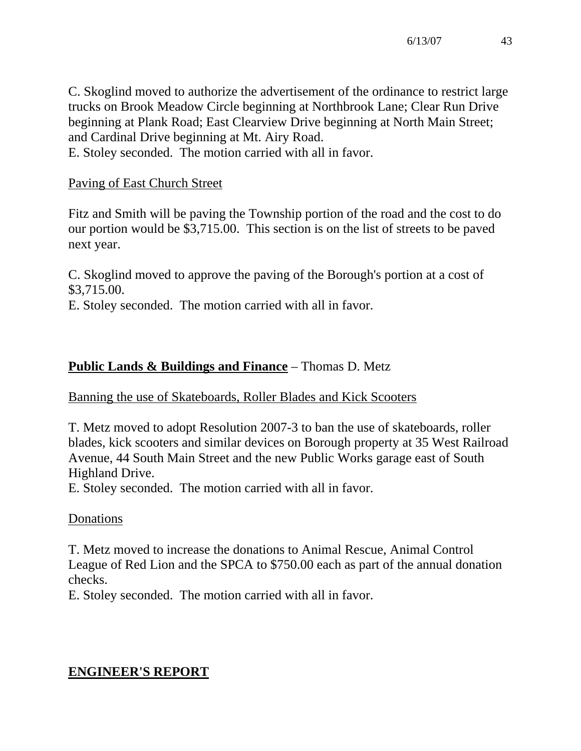C. Skoglind moved to authorize the advertisement of the ordinance to restrict large trucks on Brook Meadow Circle beginning at Northbrook Lane; Clear Run Drive beginning at Plank Road; East Clearview Drive beginning at North Main Street; and Cardinal Drive beginning at Mt. Airy Road.

E. Stoley seconded. The motion carried with all in favor.

## Paving of East Church Street

Fitz and Smith will be paving the Township portion of the road and the cost to do our portion would be \$3,715.00. This section is on the list of streets to be paved next year.

C. Skoglind moved to approve the paving of the Borough's portion at a cost of \$3,715.00.

E. Stoley seconded. The motion carried with all in favor.

# **Public Lands & Buildings and Finance** – Thomas D. Metz

## Banning the use of Skateboards, Roller Blades and Kick Scooters

T. Metz moved to adopt Resolution 2007-3 to ban the use of skateboards, roller blades, kick scooters and similar devices on Borough property at 35 West Railroad Avenue, 44 South Main Street and the new Public Works garage east of South Highland Drive.

E. Stoley seconded. The motion carried with all in favor.

# **Donations**

T. Metz moved to increase the donations to Animal Rescue, Animal Control League of Red Lion and the SPCA to \$750.00 each as part of the annual donation checks.

E. Stoley seconded. The motion carried with all in favor.

# **ENGINEER'S REPORT**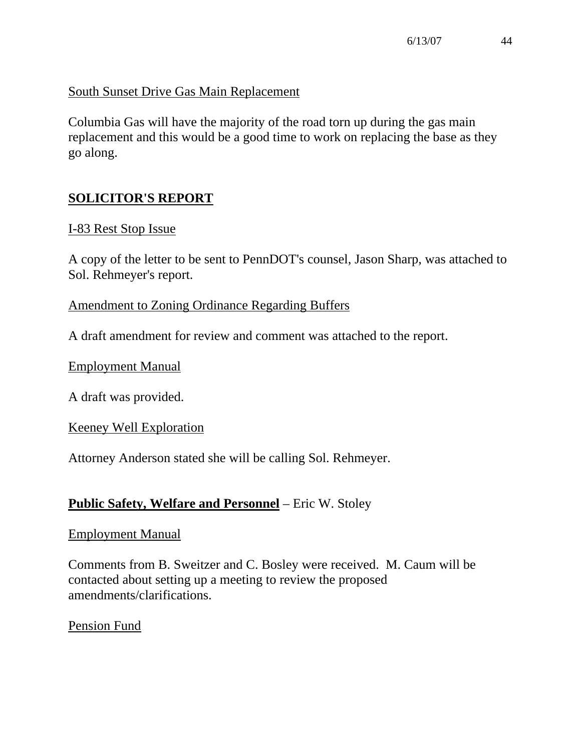### South Sunset Drive Gas Main Replacement

Columbia Gas will have the majority of the road torn up during the gas main replacement and this would be a good time to work on replacing the base as they go along.

### **SOLICITOR'S REPORT**

### I-83 Rest Stop Issue

A copy of the letter to be sent to PennDOT's counsel, Jason Sharp, was attached to Sol. Rehmeyer's report.

### Amendment to Zoning Ordinance Regarding Buffers

A draft amendment for review and comment was attached to the report.

Employment Manual

A draft was provided.

Keeney Well Exploration

Attorney Anderson stated she will be calling Sol. Rehmeyer.

### **Public Safety, Welfare and Personnel** – Eric W. Stoley

### Employment Manual

Comments from B. Sweitzer and C. Bosley were received. M. Caum will be contacted about setting up a meeting to review the proposed amendments/clarifications.

Pension Fund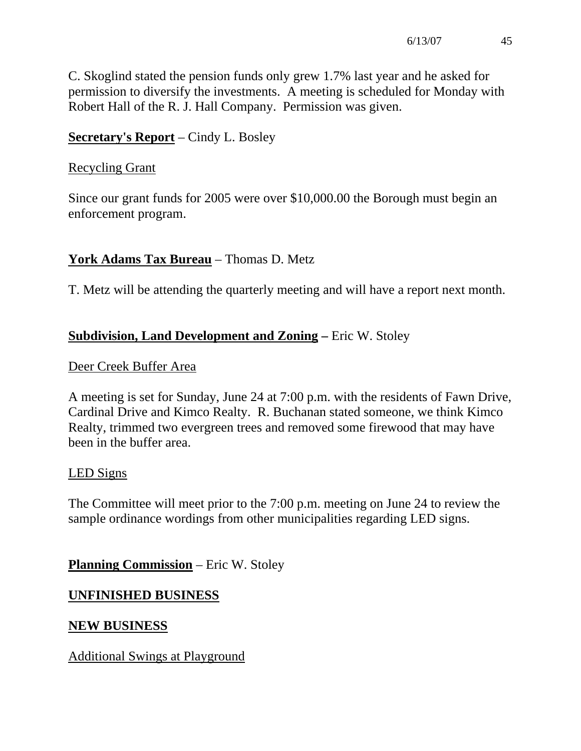C. Skoglind stated the pension funds only grew 1.7% last year and he asked for permission to diversify the investments. A meeting is scheduled for Monday with Robert Hall of the R. J. Hall Company. Permission was given.

## **Secretary's Report** – Cindy L. Bosley

## Recycling Grant

Since our grant funds for 2005 were over \$10,000.00 the Borough must begin an enforcement program.

# **York Adams Tax Bureau** – Thomas D. Metz

T. Metz will be attending the quarterly meeting and will have a report next month.

# **Subdivision, Land Development and Zoning – Eric W. Stoley**

## Deer Creek Buffer Area

A meeting is set for Sunday, June 24 at 7:00 p.m. with the residents of Fawn Drive, Cardinal Drive and Kimco Realty. R. Buchanan stated someone, we think Kimco Realty, trimmed two evergreen trees and removed some firewood that may have been in the buffer area.

## LED Signs

The Committee will meet prior to the 7:00 p.m. meeting on June 24 to review the sample ordinance wordings from other municipalities regarding LED signs.

**Planning Commission** – Eric W. Stoley

# **UNFINISHED BUSINESS**

# **NEW BUSINESS**

## Additional Swings at Playground